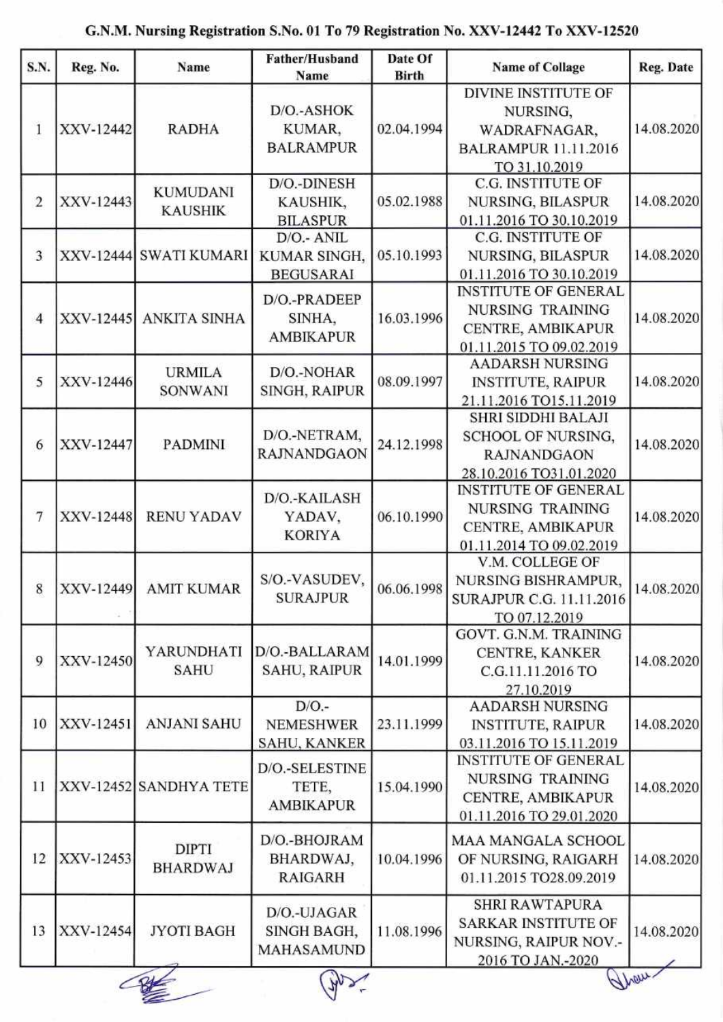| S.N.           | Reg. No.  | Name                              | Father/Husband<br>Name                              | Date Of<br><b>Birth</b> | <b>Name of Collage</b>                                                                                  | Reg. Date  |
|----------------|-----------|-----------------------------------|-----------------------------------------------------|-------------------------|---------------------------------------------------------------------------------------------------------|------------|
| 1              | XXV-12442 | <b>RADHA</b>                      | D/O.-ASHOK<br>KUMAR.<br><b>BALRAMPUR</b>            | 02.04.1994              | <b>DIVINE INSTITUTE OF</b><br>NURSING,<br>WADRAFNAGAR,<br><b>BALRAMPUR 11.11.2016</b><br>TO 31.10.2019  | 14.08.2020 |
| $\overline{2}$ | XXV-12443 | <b>KUMUDANI</b><br><b>KAUSHIK</b> | D/O.-DINESH<br>KAUSHIK,<br><b>BILASPUR</b>          | 05.02.1988              | <b>C.G. INSTITUTE OF</b><br><b>NURSING, BILASPUR</b><br>01.11.2016 TO 30.10.2019                        | 14.08.2020 |
| $\overline{3}$ |           | XXV-12444 SWATI KUMARI            | D/O.- ANIL<br>KUMAR SINGH,<br><b>BEGUSARAI</b>      | 05.10.1993              | C.G. INSTITUTE OF<br>NURSING, BILASPUR<br>01.11.2016 TO 30.10.2019                                      | 14.08.2020 |
| $\overline{4}$ |           | XXV-12445 ANKITA SINHA            | D/O.-PRADEEP<br>SINHA,<br><b>AMBIKAPUR</b>          | 16.03.1996              | <b>INSTITUTE OF GENERAL</b><br>NURSING TRAINING<br>CENTRE, AMBIKAPUR<br>01.11.2015 TO 09.02.2019        | 14.08.2020 |
| 5              | XXV-12446 | <b>URMILA</b><br><b>SONWANI</b>   | D/O.-NOHAR<br><b>SINGH, RAIPUR</b>                  | 08.09.1997              | <b>AADARSH NURSING</b><br><b>INSTITUTE, RAIPUR</b><br>21.11.2016 TO15.11.2019                           | 14.08.2020 |
| 6              | XXV-12447 | PADMINI                           | D/O.-NETRAM,<br><b>RAJNANDGAON</b>                  | 24.12.1998              | SHRI SIDDHI BALAJI<br>SCHOOL OF NURSING,<br><b>RAJNANDGAON</b><br>28.10.2016 TO31.01.2020               | 14.08.2020 |
| 7              | XXV-12448 | <b>RENU YADAV</b>                 | D/O.-KAILASH<br>YADAV,<br><b>KORIYA</b>             | 06.10.1990              | <b>INSTITUTE OF GENERAL</b><br>NURSING TRAINING<br>CENTRE, AMBIKAPUR<br>01.11.2014 TO 09.02.2019        | 14.08.2020 |
| 8              |           | XXV-12449 AMIT KUMAR              | S/O.-VASUDEV,<br><b>SURAJPUR</b>                    | 06.06.1998              | V.M. COLLEGE OF<br><b>NURSING BISHRAMPUR,</b><br>SURAJPUR C.G. 11.11.2016<br>TO 07.12.2019              | 14.08.2020 |
| 9              | XXV-12450 | YARUNDHATI<br><b>SAHU</b>         | D/O.-BALLARAM<br><b>SAHU, RAIPUR</b>                | 14.01.1999              | GOVT. G.N.M. TRAINING<br>CENTRE, KANKER<br>C.G.11.11.2016 TO<br>27.10.2019                              | 14.08.2020 |
| 10             | XXV-12451 | <b>ANJANI SAHU</b>                | $D/O$ .-<br><b>NEMESHWER</b><br><b>SAHU, KANKER</b> | 23.11.1999              | <b>AADARSH NURSING</b><br><b>INSTITUTE, RAIPUR</b><br>03.11.2016 TO 15.11.2019                          | 14.08.2020 |
| 11             |           | XXV-12452 SANDHYA TETE            | D/O.-SELESTINE<br>TETE,<br><b>AMBIKAPUR</b>         | 15.04.1990              | <b>INSTITUTE OF GENERAL</b><br><b>NURSING TRAINING</b><br>CENTRE, AMBIKAPUR<br>01.11.2016 TO 29.01.2020 | 14.08.2020 |
| 12             | XXV-12453 | <b>DIPTI</b><br><b>BHARDWAJ</b>   | D/O.-BHOJRAM<br>BHARDWAJ,<br><b>RAIGARH</b>         | 10.04.1996              | MAA MANGALA SCHOOL<br>OF NURSING, RAIGARH<br>01.11.2015 TO28.09.2019                                    | 14.08.2020 |
| 13             | XXV-12454 | <b>JYOTI BAGH</b>                 | D/O.-UJAGAR<br>SINGH BAGH,<br>MAHASAMUND            | 11.08.1996              | SHRI RAWTAPURA<br><b>SARKAR INSTITUTE OF</b><br>NURSING, RAIPUR NOV.-<br>2016 TO JAN.-2020              | 14.08.2020 |
|                |           |                                   |                                                     |                         |                                                                                                         | ghour.     |

## G.N.M. Nursing Registration S.No. 01 To 79 Registration No. XXV-12442 To XXV-12520

 $\mathcal{A}$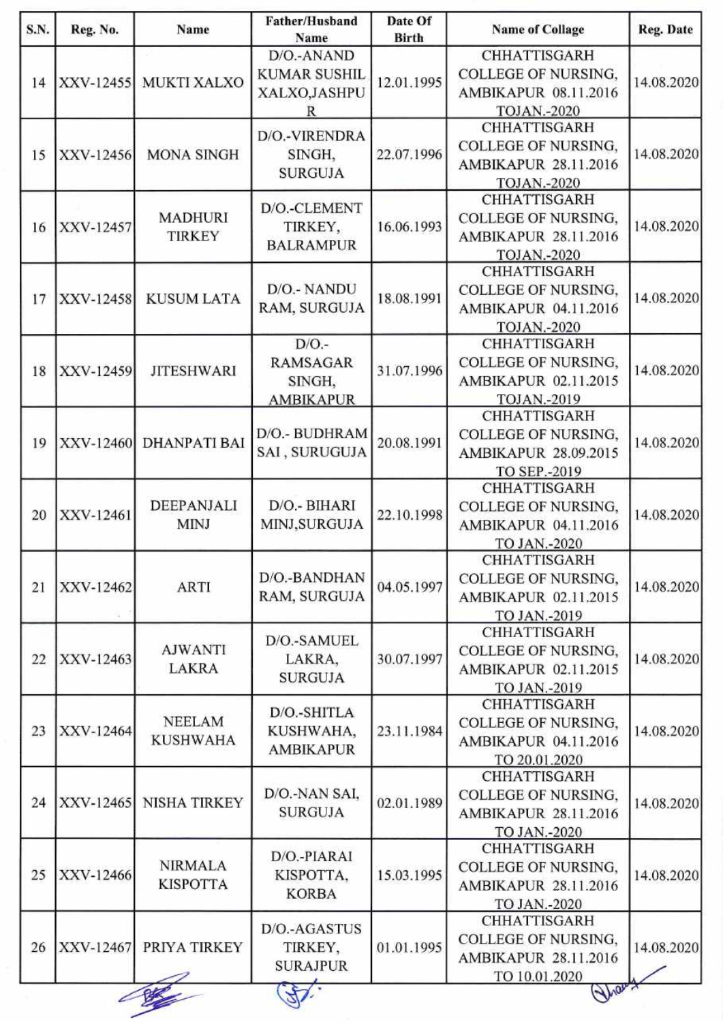| S.N. | Reg. No.  | Name                              | Father/Husband<br>Name                                    | Date Of<br><b>Birth</b> | <b>Name of Collage</b>                                                                             | Reg. Date  |
|------|-----------|-----------------------------------|-----------------------------------------------------------|-------------------------|----------------------------------------------------------------------------------------------------|------------|
| 14   |           | XXV-12455 MUKTI XALXO             | D/O.-ANAND<br><b>KUMAR SUSHIL</b><br>XALXO, JASHPU<br>R   | 12.01.1995              | <b>CHHATTISGARH</b><br>COLLEGE OF NURSING,<br><b>AMBIKAPUR 08.11.2016</b><br><b>TOJAN.-2020</b>    | 14.08.2020 |
| 15   | XXV-12456 | <b>MONA SINGH</b>                 | D/O.-VIRENDRA<br>SINGH,<br><b>SURGUJA</b>                 | 22.07.1996              | <b>CHHATTISGARH</b><br><b>COLLEGE OF NURSING,</b><br>AMBIKAPUR 28.11.2016<br><b>TOJAN.-2020</b>    | 14.08.2020 |
| 16   | XXV-12457 | <b>MADHURI</b><br><b>TIRKEY</b>   | D/O.-CLEMENT<br>TIRKEY,<br><b>BALRAMPUR</b>               | 16.06.1993              | <b>CHHATTISGARH</b><br><b>COLLEGE OF NURSING,</b><br>AMBIKAPUR 28.11.2016<br><b>TOJAN.-2020</b>    | 14.08.2020 |
| 17   | XXV-12458 | <b>KUSUM LATA</b>                 | D/O.- NANDU<br>RAM, SURGUJA                               | 18.08.1991              | <b>CHHATTISGARH</b><br>COLLEGE OF NURSING,<br><b>AMBIKAPUR 04.11.2016</b><br><b>TOJAN.-2020</b>    | 14.08.2020 |
| 18   | XXV-12459 | <b>JITESHWARI</b>                 | $D/O$ .-<br><b>RAMSAGAR</b><br>SINGH,<br><b>AMBIKAPUR</b> | 31.07.1996              | CHHATTISGARH<br>COLLEGE OF NURSING,<br>AMBIKAPUR 02.11.2015<br>TOJAN.-2019                         | 14.08.2020 |
| 19   |           | XXV-12460 DHANPATI BAI            | D/O.- BUDHRAM<br>SAI, SURUGUJA                            | 20.08.1991              | <b>CHHATTISGARH</b><br><b>COLLEGE OF NURSING,</b><br><b>AMBIKAPUR 28.09.2015</b><br>TO SEP.-2019   | 14.08.2020 |
| 20   | XXV-12461 | DEEPANJALI<br><b>MINJ</b>         | D/O.- BIHARI<br>MINJ, SURGUJA                             | 22.10.1998              | <b>CHHATTISGARH</b><br><b>COLLEGE OF NURSING,</b><br>AMBIKAPUR 04.11.2016<br>TO JAN.-2020          | 14.08.2020 |
| 21   | XXV-12462 | <b>ARTI</b>                       | D/O.-BANDHAN<br>RAM, SURGUJA                              | 04.05.1997              | <b>CHHATTISGARH</b><br>COLLEGE OF NURSING,<br>AMBIKAPUR 02.11.2015<br>TO JAN.-2019                 | 14.08.2020 |
| 22   | XXV-12463 | <b>AJWANTI</b><br><b>LAKRA</b>    | D/O.-SAMUEL<br>LAKRA,<br><b>SURGUJA</b>                   | 30.07.1997              | <b>CHHATTISGARH</b><br><b>COLLEGE OF NURSING,</b><br>AMBIKAPUR 02.11.2015<br>TO JAN.-2019          | 14.08.2020 |
| 23   | XXV-12464 | <b>NEELAM</b><br><b>KUSHWAHA</b>  | D/O.-SHITLA<br>KUSHWAHA,<br><b>AMBIKAPUR</b>              | 23.11.1984              | <b>CHHATTISGARH</b><br><b>COLLEGE OF NURSING.</b><br>AMBIKAPUR 04.11.2016<br>TO 20.01.2020         | 14.08.2020 |
| 24   |           | XXV-12465 NISHA TIRKEY            | D/O.-NAN SAI,<br><b>SURGUJA</b>                           | 02.01.1989              | CHHATTISGARH<br><b>COLLEGE OF NURSING.</b><br>AMBIKAPUR 28.11.2016<br>TO JAN.-2020                 | 14.08.2020 |
| 25   | XXV-12466 | <b>NIRMALA</b><br><b>KISPOTTA</b> | D/O.-PIARAI<br>KISPOTTA,<br><b>KORBA</b>                  | 15.03.1995              | <b>CHHATTISGARH</b><br>COLLEGE OF NURSING,<br><b>AMBIKAPUR 28.11.2016</b><br>TO JAN.-2020          | 14.08.2020 |
| 26   | XXV-12467 | PRIYA TIRKEY                      | D/O.-AGASTUS<br>TIRKEY,<br><b>SURAJPUR</b>                | 01.01.1995              | <b>CHHATTISGARH</b><br><b>COLLEGE OF NURSING,</b><br>AMBIKAPUR 28.11.2016<br>TO 10.01.2020<br>Mary | 14.08.2020 |

╱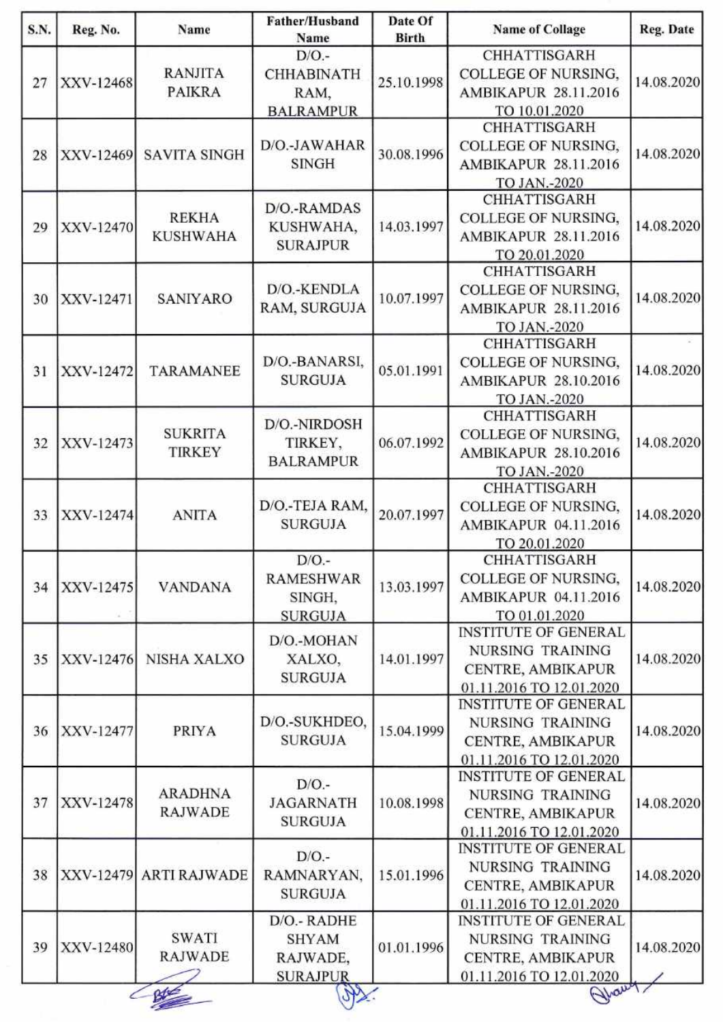| S.N. | Reg. No.                 | Name                   | Father/Husband                   | Date Of        | <b>Name of Collage</b>       | Reg. Date                |  |
|------|--------------------------|------------------------|----------------------------------|----------------|------------------------------|--------------------------|--|
|      |                          |                        | Name                             | <b>Birth</b>   |                              |                          |  |
|      |                          | <b>RANJITA</b>         | $D/O$ .-                         |                | CHHATTISGARH                 |                          |  |
| 27   | XXV-12468                |                        | <b>CHHABINATH</b>                | 25.10.1998     | <b>COLLEGE OF NURSING.</b>   | 14.08.2020               |  |
|      |                          | <b>PAIKRA</b>          | RAM,                             |                | AMBIKAPUR 28.11.2016         |                          |  |
|      |                          |                        | <b>BALRAMPUR</b>                 |                | TO 10.01.2020                |                          |  |
|      |                          |                        |                                  |                | <b>CHHATTISGARH</b>          |                          |  |
| 28   | XXV-12469                | <b>SAVITA SINGH</b>    | D/O.-JAWAHAR                     | 30.08.1996     | <b>COLLEGE OF NURSING,</b>   | 14.08.2020               |  |
|      |                          |                        | <b>SINGH</b>                     |                | AMBIKAPUR 28.11.2016         |                          |  |
|      |                          |                        |                                  |                | TO JAN.-2020                 |                          |  |
|      |                          |                        | D/O.-RAMDAS                      |                | <b>CHHATTISGARH</b>          |                          |  |
| 29   | XXV-12470                | <b>REKHA</b>           | KUSHWAHA,                        | 14.03.1997     | COLLEGE OF NURSING,          | 14.08.2020               |  |
|      |                          | <b>KUSHWAHA</b>        |                                  |                | <b>AMBIKAPUR 28.11.2016</b>  |                          |  |
|      |                          |                        | <b>SURAJPUR</b>                  |                | TO 20.01.2020                |                          |  |
|      |                          |                        |                                  |                | <b>CHHATTISGARH</b>          |                          |  |
|      |                          |                        | D/O.-KENDLA                      |                | <b>COLLEGE OF NURSING.</b>   |                          |  |
| 30   | XXV-12471                | SANIYARO               | RAM, SURGUJA                     | 10.07.1997     | AMBIKAPUR 28.11.2016         | 14.08.2020               |  |
|      |                          |                        |                                  |                | TO JAN.-2020                 |                          |  |
|      |                          |                        |                                  |                | <b>CHHATTISGARH</b>          |                          |  |
|      |                          |                        | D/O.-BANARSI,                    |                | <b>COLLEGE OF NURSING,</b>   |                          |  |
| 31   | XXV-12472                | <b>TARAMANEE</b>       | <b>SURGUJA</b>                   | 05.01.1991     | AMBIKAPUR 28.10.2016         | 14.08.2020               |  |
|      |                          |                        |                                  |                |                              |                          |  |
|      |                          |                        |                                  |                | TO JAN.-2020<br>CHHATTISGARH |                          |  |
|      |                          | <b>SUKRITA</b>         | D/O.-NIRDOSH                     | 06.07.1992     | <b>COLLEGE OF NURSING,</b>   | 14.08.2020               |  |
| 32   | XXV-12473                |                        | TIRKEY,                          |                |                              |                          |  |
|      |                          | <b>TIRKEY</b>          | <b>BALRAMPUR</b>                 |                | AMBIKAPUR 28.10.2016         |                          |  |
|      |                          |                        |                                  |                | TO JAN.-2020                 |                          |  |
|      |                          | <b>ANITA</b>           | D/O.-TEJA RAM,<br><b>SURGUJA</b> | 20.07.1997     | <b>CHHATTISGARH</b>          | 14.08.2020               |  |
| 33   | XXV-12474                |                        |                                  |                | <b>COLLEGE OF NURSING,</b>   |                          |  |
|      |                          |                        |                                  |                | AMBIKAPUR 04.11.2016         |                          |  |
|      |                          |                        |                                  |                | TO 20.01.2020                |                          |  |
|      |                          |                        | $D/O$ .-                         |                | <b>CHHATTISGARH</b>          | 14.08.2020               |  |
| 34   | XXV-12475                | <b>VANDANA</b>         | <b>RAMESHWAR</b><br>SINGH,       | 13.03.1997     | <b>COLLEGE OF NURSING.</b>   |                          |  |
|      |                          |                        |                                  |                | AMBIKAPUR 04.11.2016         |                          |  |
|      |                          |                        | <b>SURGUJA</b>                   |                | TO 01.01.2020                |                          |  |
|      |                          |                        | D/O.-MOHAN<br>XALXO,             |                | <b>INSTITUTE OF GENERAL</b>  | 14.08.2020               |  |
|      | NISHA XALXO<br>XXV-12476 |                        |                                  | 14.01.1997     | <b>NURSING TRAINING</b>      |                          |  |
| 35   |                          |                        |                                  |                | CENTRE, AMBIKAPUR            |                          |  |
|      |                          |                        |                                  | <b>SURGUJA</b> |                              | 01.11.2016 TO 12.01.2020 |  |
|      |                          |                        |                                  |                | <b>INSTITUTE OF GENERAL</b>  |                          |  |
|      |                          |                        | D/O.-SUKHDEO,<br><b>SURGUJA</b>  | 15.04.1999     | <b>NURSING TRAINING</b>      | 14.08.2020               |  |
| 36   | XXV-12477                | <b>PRIYA</b>           |                                  |                | CENTRE, AMBIKAPUR            |                          |  |
|      |                          |                        |                                  |                | 01.11.2016 TO 12.01.2020     |                          |  |
|      |                          |                        |                                  |                | <b>INSTITUTE OF GENERAL</b>  |                          |  |
|      |                          | <b>ARADHNA</b>         | $D/O$ .                          |                | NURSING TRAINING             |                          |  |
| 37   | XXV-12478                | RAJWADE                | <b>JAGARNATH</b>                 | 10.08.1998     | CENTRE, AMBIKAPUR            | 14.08.2020               |  |
|      |                          |                        | <b>SURGUJA</b>                   |                | 01.11.2016 TO 12.01.2020     |                          |  |
|      |                          |                        |                                  |                | <b>INSTITUTE OF GENERAL</b>  |                          |  |
| 38   |                          |                        | $D/O$ .-                         |                |                              | 14.08.2020               |  |
|      |                          | XXV-12479 ARTI RAJWADE | RAMNARYAN,                       | 15.01.1996     | NURSING TRAINING             |                          |  |
|      |                          |                        | <b>SURGUJA</b>                   |                | CENTRE, AMBIKAPUR            |                          |  |
|      |                          |                        |                                  |                | 01.11.2016 TO 12.01.2020     |                          |  |
| 39   |                          |                        | D/O.- RADHE                      |                | <b>INSTITUTE OF GENERAL</b>  |                          |  |
|      | XXV-12480                | <b>SWATI</b>           | <b>SHYAM</b>                     | 01.01.1996     | <b>NURSING TRAINING</b>      | 14.08.2020               |  |
|      |                          | <b>RAJWADE</b>         | RAJWADE,                         |                | CENTRE, AMBIKAPUR            |                          |  |
|      |                          |                        | <b>SURAJPUR</b>                  |                | 01.11.2016 TO 12.01.2020     |                          |  |
|      |                          |                        |                                  |                | Hhawt                        |                          |  |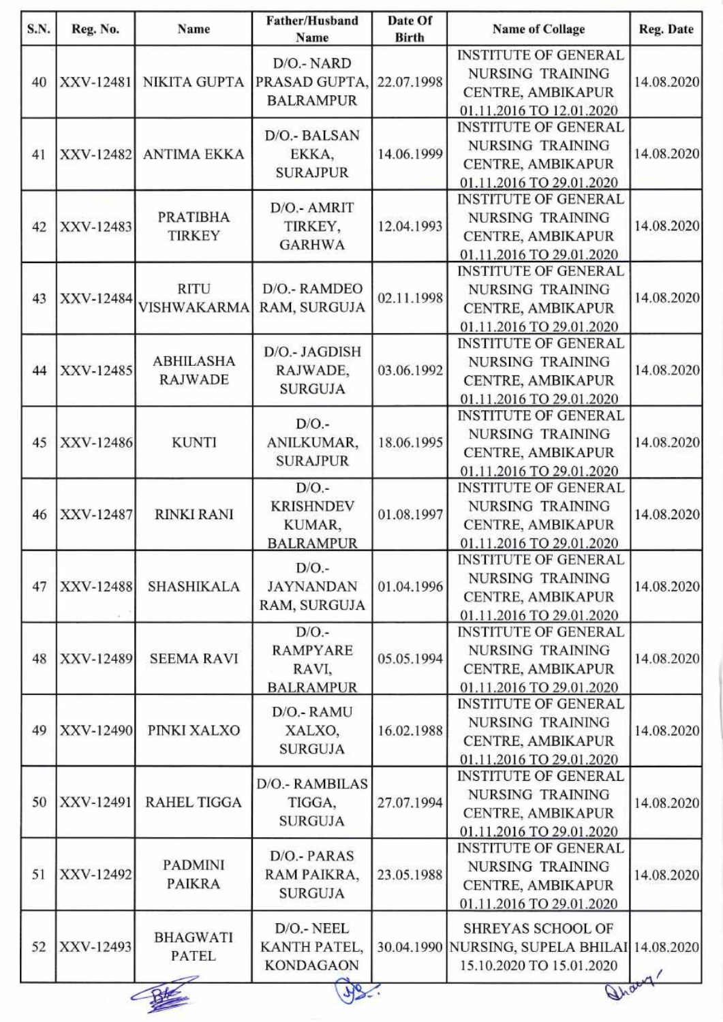| S.N. | Reg. No.  | Name                            | Father/Husband<br>Name                                   | Date Of<br><b>Birth</b> | <b>Name of Collage</b>                                  | Reg. Date  |
|------|-----------|---------------------------------|----------------------------------------------------------|-------------------------|---------------------------------------------------------|------------|
|      |           |                                 |                                                          |                         | <b>INSTITUTE OF GENERAL</b>                             |            |
| 40   | XXV-12481 |                                 | D/O.- NARD                                               |                         | <b>NURSING TRAINING</b>                                 |            |
|      |           | <b>NIKITA GUPTA</b>             | PRASAD GUPTA,                                            | 22.07.1998              | CENTRE, AMBIKAPUR                                       | 14.08.2020 |
|      |           |                                 | <b>BALRAMPUR</b>                                         |                         | 01.11.2016 TO 12.01.2020                                |            |
|      |           |                                 |                                                          |                         | <b>INSTITUTE OF GENERAL</b>                             |            |
|      | XXV-12482 |                                 | D/O.- BALSAN                                             |                         | <b>NURSING TRAINING</b>                                 | 14.08.2020 |
| 41   |           | <b>ANTIMA EKKA</b>              | EKKA,                                                    | 14.06.1999              | CENTRE, AMBIKAPUR                                       |            |
|      |           |                                 | <b>SURAJPUR</b>                                          |                         | 01.11.2016 TO 29.01.2020                                |            |
|      |           |                                 |                                                          |                         | <b>INSTITUTE OF GENERAL</b>                             |            |
|      |           | <b>PRATIBHA</b>                 | D/O.- AMRIT                                              |                         | NURSING TRAINING                                        |            |
| 42   | XXV-12483 | <b>TIRKEY</b>                   | TIRKEY,                                                  | 12.04.1993              | CENTRE, AMBIKAPUR                                       | 14.08.2020 |
|      |           |                                 | <b>GARHWA</b>                                            |                         | 01.11.2016 TO 29.01.2020                                |            |
|      |           |                                 |                                                          |                         | <b>INSTITUTE OF GENERAL</b>                             |            |
|      |           | <b>RITU</b>                     | D/O.- RAMDEO                                             |                         |                                                         |            |
| 43   |           | XXV-12484 VISHWAKARMA           |                                                          | 02.11.1998              | <b>NURSING TRAINING</b>                                 | 14.08.2020 |
|      |           |                                 | RAM, SURGUJA                                             |                         | CENTRE, AMBIKAPUR                                       |            |
|      |           |                                 |                                                          |                         | 01.11.2016 TO 29.01.2020                                |            |
|      |           |                                 | D/O.- JAGDISH                                            |                         | <b>INSTITUTE OF GENERAL</b>                             |            |
| 44   | XXV-12485 | <b>ABHILASHA</b>                | RAJWADE,                                                 | 03.06.1992              | <b>NURSING TRAINING</b>                                 | 14.08.2020 |
|      |           | <b>RAJWADE</b>                  | <b>SURGUJA</b>                                           |                         | CENTRE, AMBIKAPUR                                       |            |
|      |           |                                 |                                                          |                         | 01.11.2016 TO 29.01.2020                                |            |
|      |           |                                 | $D/O$ .                                                  |                         | <b>INSTITUTE OF GENERAL</b>                             | 14.08.2020 |
| 45   | XXV-12486 | <b>KUNTI</b>                    | ANILKUMAR,                                               | 18.06.1995              | <b>NURSING TRAINING</b>                                 |            |
|      |           |                                 | <b>SURAJPUR</b>                                          |                         | CENTRE, AMBIKAPUR                                       |            |
|      |           |                                 |                                                          |                         | 01.11.2016 TO 29.01.2020                                |            |
|      |           |                                 | $D/O$ .<br><b>KRISHNDEV</b>                              |                         | <b>INSTITUTE OF GENERAL</b>                             |            |
|      |           |                                 |                                                          |                         | NURSING TRAINING                                        |            |
| 46   | XXV-12487 | <b>RINKI RANI</b>               | KUMAR,                                                   | 01.08.1997              | CENTRE, AMBIKAPUR                                       | 14.08.2020 |
|      |           |                                 | <b>BALRAMPUR</b>                                         |                         | 01.11.2016 TO 29.01.2020                                |            |
|      |           |                                 |                                                          |                         | <b>INSTITUTE OF GENERAL</b>                             |            |
|      |           |                                 | $D/O$ .-                                                 |                         | NURSING TRAINING                                        |            |
| 47   | XXV-12488 | <b>SHASHIKALA</b>               | <b>JAYNANDAN</b>                                         | 01.04.1996              | CENTRE, AMBIKAPUR                                       | 14.08.2020 |
|      |           |                                 | RAM, SURGUJA                                             |                         | 01.11.2016 TO 29.01.2020                                |            |
|      |           | XXV-12489<br><b>SEEMA RAVI</b>  | $D/O$ .-<br><b>RAMPYARE</b><br>RAVI,<br><b>BALRAMPUR</b> | 05.05.1994              | <b>INSTITUTE OF GENERAL</b>                             | 14.08.2020 |
|      |           |                                 |                                                          |                         | <b>NURSING TRAINING</b>                                 |            |
| 48   |           |                                 |                                                          |                         | CENTRE, AMBIKAPUR                                       |            |
|      |           |                                 |                                                          |                         | 01.11.2016 TO 29.01.2020                                |            |
|      |           |                                 |                                                          |                         | <b>INSTITUTE OF GENERAL</b>                             |            |
|      |           |                                 | D/O.- RAMU                                               |                         | NURSING TRAINING                                        |            |
| 49   | XXV-12490 | PINKI XALXO                     | XALXO,                                                   | 16.02.1988              |                                                         | 14.08.2020 |
|      |           |                                 | <b>SURGUJA</b>                                           |                         | CENTRE, AMBIKAPUR                                       |            |
|      |           |                                 |                                                          |                         | 01.11.2016 TO 29.01.2020<br><b>INSTITUTE OF GENERAL</b> |            |
|      |           |                                 | D/O.- RAMBILAS                                           |                         |                                                         |            |
| 50   | XXV-12491 | <b>RAHEL TIGGA</b>              | TIGGA,                                                   | 27.07.1994              | NURSING TRAINING                                        | 14.08.2020 |
|      |           |                                 | <b>SURGUJA</b>                                           |                         | CENTRE, AMBIKAPUR                                       |            |
|      |           |                                 |                                                          |                         | 01.11.2016 TO 29.01.2020                                |            |
|      |           |                                 | D/O.- PARAS                                              |                         | <b>INSTITUTE OF GENERAL</b>                             |            |
| 51   | XXV-12492 | <b>PADMINI</b>                  | RAM PAIKRA,                                              | 23.05.1988              | <b>NURSING TRAINING</b>                                 | 14.08.2020 |
|      |           | <b>PAIKRA</b>                   | <b>SURGUJA</b>                                           |                         | CENTRE, AMBIKAPUR                                       |            |
|      |           |                                 |                                                          |                         | 01.11.2016 TO 29.01.2020                                |            |
| 52   |           |                                 | D/O.- NEEL<br>KANTH PATEL,<br><b>KONDAGAON</b>           |                         | SHREYAS SCHOOL OF                                       |            |
|      | XXV-12493 | <b>BHAGWATI</b><br><b>PATEL</b> |                                                          |                         | 30.04.1990 NURSING, SUPELA BHILAI 14.08.2020            |            |
|      |           |                                 |                                                          |                         | 15.10.2020 TO 15.01.2020                                |            |
|      |           |                                 |                                                          |                         |                                                         |            |
|      |           |                                 |                                                          |                         | Trac                                                    |            |
|      |           |                                 |                                                          |                         |                                                         |            |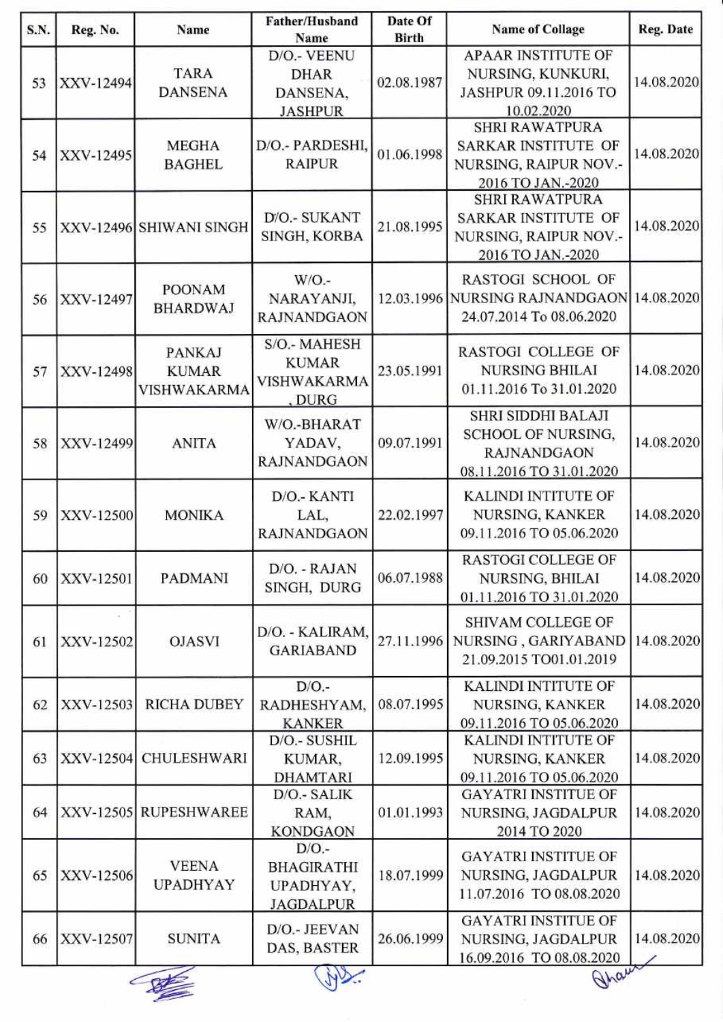| S.N. | Reg. No.                | Name                       | <b>Father/Husband</b><br>Name       | Date Of<br><b>Birth</b> | <b>Name of Collage</b>                    | Reg. Date  |
|------|-------------------------|----------------------------|-------------------------------------|-------------------------|-------------------------------------------|------------|
|      |                         |                            | D/O.- VEENU                         |                         | <b>APAAR INSTITUTE OF</b>                 |            |
|      | XXV-12494               |                            |                                     |                         |                                           |            |
| 53   |                         | <b>TARA</b>                | <b>DHAR</b>                         | 02.08.1987              | NURSING, KUNKURI,                         | 14.08.2020 |
|      |                         | <b>DANSENA</b>             | DANSENA,                            |                         | JASHPUR 09.11.2016 TO                     |            |
|      |                         |                            | <b>JASHPUR</b>                      |                         | 10.02.2020                                |            |
|      |                         |                            |                                     |                         | <b>SHRI RAWATPURA</b>                     |            |
| 54   | XXV-12495               | <b>MEGHA</b>               | D/O.- PARDESHI,                     | 01.06.1998              | <b>SARKAR INSTITUTE OF</b>                | 14.08.2020 |
|      |                         | <b>BAGHEL</b>              | <b>RAIPUR</b>                       |                         | NURSING, RAIPUR NOV.-                     |            |
|      |                         |                            |                                     |                         | 2016 TO JAN.-2020                         |            |
|      |                         |                            |                                     |                         | <b>SHRI RAWATPURA</b>                     |            |
|      | XXV-12496 SHIWANI SINGH |                            | D/O.- SUKANT                        | 21.08.1995              | <b>SARKAR INSTITUTE OF</b>                |            |
| 55   |                         |                            | SINGH, KORBA                        |                         | NURSING, RAIPUR NOV.-                     | 14.08.2020 |
|      |                         |                            |                                     |                         | 2016 TO JAN.-2020                         |            |
|      |                         |                            |                                     |                         |                                           |            |
|      |                         | <b>POONAM</b>              | $W/O$ .-                            |                         | RASTOGI SCHOOL OF                         |            |
| 56   | XXV-12497               | <b>BHARDWAJ</b>            | NARAYANJI,                          |                         | 12.03.1996 NURSING RAJNANDGAON 14.08.2020 |            |
|      |                         |                            | <b>RAJNANDGAON</b>                  |                         | 24.07.2014 To 08.06.2020                  |            |
|      |                         |                            |                                     |                         |                                           |            |
|      |                         | <b>PANKAJ</b>              | S/O.- MAHESH                        |                         | <b>RASTOGI COLLEGE OF</b>                 |            |
| 57   | XXV-12498               | <b>KUMAR</b>               | <b>KUMAR</b>                        | 23.05.1991              | <b>NURSING BHILAI</b>                     | 14.08.2020 |
|      |                         | VISHWAKARMA                | VISHWAKARMA                         |                         | 01.11.2016 To 31.01.2020                  |            |
|      |                         |                            | , DURG                              |                         |                                           |            |
|      |                         |                            | W/O.-BHARAT                         |                         | <b>SHRI SIDDHI BALAJI</b>                 |            |
|      |                         |                            |                                     |                         | <b>SCHOOL OF NURSING,</b>                 |            |
| 58   | XXV-12499               | <b>ANITA</b>               | YADAV,                              | 09.07.1991              | <b>RAJNANDGAON</b>                        | 14.08.2020 |
|      |                         |                            | RAJNANDGAON                         |                         | 08.11.2016 TO 31.01.2020                  |            |
|      |                         |                            |                                     |                         |                                           |            |
|      |                         |                            | D/O.- KANTI                         |                         | <b>KALINDI INTITUTE OF</b>                |            |
| 59   | XXV-12500               | <b>MONIKA</b>              | LAL,                                | 22.02.1997              | NURSING, KANKER                           | 14.08.2020 |
|      |                         |                            | <b>RAJNANDGAON</b>                  |                         | 09.11.2016 TO 05.06.2020                  |            |
|      |                         |                            |                                     |                         | <b>RASTOGI COLLEGE OF</b>                 |            |
|      |                         |                            | D/O. - RAJAN                        | 06.07.1988              |                                           | 14.08.2020 |
| 60   | XXV-12501               | PADMANI                    | SINGH, DURG                         |                         | NURSING, BHILAI                           |            |
|      |                         |                            |                                     |                         | 01.11.2016 TO 31.01.2020                  |            |
|      |                         | <b>OJASVI</b><br>XXV-12502 |                                     |                         | SHIVAM COLLEGE OF                         |            |
| 61   |                         |                            | D/O. - KALIRAM,<br><b>GARIABAND</b> |                         | 27.11.1996 NURSING, GARIYABAND            | 14.08.2020 |
|      |                         |                            |                                     |                         | 21.09.2015 TO01.01.2019                   |            |
|      |                         |                            |                                     |                         |                                           |            |
|      |                         |                            | D/O.                                | 08.07.1995              | <b>KALINDI INTITUTE OF</b>                |            |
| 62   | XXV-12503               | <b>RICHA DUBEY</b>         | RADHESHYAM,                         |                         | <b>NURSING, KANKER</b>                    | 14.08.2020 |
|      |                         |                            | <b>KANKER</b>                       |                         | 09.11.2016 TO 05.06.2020                  |            |
|      |                         |                            | D/O.- SUSHIL                        |                         | <b>KALINDI INTITUTE OF</b>                |            |
| 63   |                         | XXV-12504 CHULESHWARI      | KUMAR,                              | 12.09.1995              | NURSING, KANKER                           | 14.08.2020 |
|      |                         |                            | <b>DHAMTARI</b>                     |                         | 09.11.2016 TO 05.06.2020                  |            |
|      |                         |                            | D/O.- SALIK                         |                         | <b>GAYATRI INSTITUE OF</b>                |            |
| 64   |                         |                            | RAM,                                | 01.01.1993              | NURSING, JAGDALPUR                        | 14.08.2020 |
|      |                         | XXV-12505 RUPESHWAREE      |                                     |                         |                                           |            |
|      |                         |                            | KONDGAON                            |                         | 2014 TO 2020                              |            |
| 65   |                         | <b>VEENA</b>               | $D/O$ .-                            |                         | <b>GAYATRI INSTITUE OF</b>                |            |
|      | XXV-12506               |                            | <b>BHAGIRATHI</b>                   | 18.07.1999              | NURSING, JAGDALPUR                        | 14.08.2020 |
|      |                         | <b>UPADHYAY</b>            | UPADHYAY,                           |                         | 11.07.2016 TO 08.08.2020                  |            |
|      |                         |                            | <b>JAGDALPUR</b>                    |                         |                                           |            |
| 66   |                         |                            | D/O.- JEEVAN                        | 26.06.1999              | <b>GAYATRI INSTITUE OF</b>                |            |
|      | XXV-12507               | <b>SUNITA</b>              | DAS, BASTER                         |                         | NURSING, JAGDALPUR                        | 14.08.2020 |
|      |                         |                            |                                     |                         | 16.09.2016 TO 08.08.2020                  |            |
|      |                         |                            |                                     |                         | ghaw                                      |            |
|      |                         |                            |                                     |                         |                                           |            |